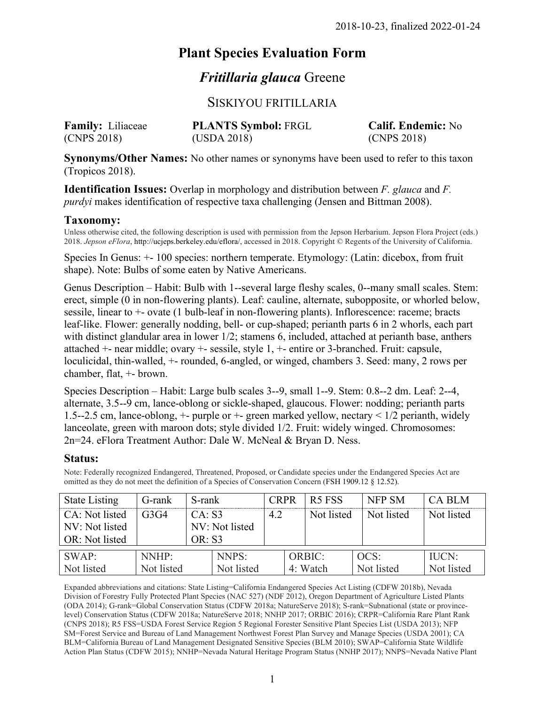# **Plant Species Evaluation Form**

## *Fritillaria glauca* Greene

## SISKIYOU FRITILLARIA

| <b>Family:</b> Liliaceae | <b>PLANTS Symbol: FRGL</b> | <b>Calif. Endemic: No</b> |
|--------------------------|----------------------------|---------------------------|
| (CNPS 2018)              | (USDA 2018)                | (CNPS 2018)               |

**Synonyms/Other Names:** No other names or synonyms have been used to refer to this taxon (Tropicos 2018).

**Identification Issues:** Overlap in morphology and distribution between *F. glauca* and *F. purdyi* makes identification of respective taxa challenging (Jensen and Bittman 2008).

#### **Taxonomy:**

Unless otherwise cited, the following description is used with permission from the Jepson Herbarium. Jepson Flora Project (eds.) 2018. *Jepson eFlora*, http://ucjeps.berkeley.edu/eflora/, accessed in 2018. Copyright © Regents of the University of California.

Species In Genus: +- 100 species: northern temperate. Etymology: (Latin: dicebox, from fruit shape). Note: Bulbs of some eaten by Native Americans.

Genus Description – Habit: Bulb with 1--several large fleshy scales, 0--many small scales. Stem: erect, simple (0 in non-flowering plants). Leaf: cauline, alternate, subopposite, or whorled below, sessile, linear to +- ovate (1 bulb-leaf in non-flowering plants). Inflorescence: raceme; bracts leaf-like. Flower: generally nodding, bell- or cup-shaped; perianth parts 6 in 2 whorls, each part with distinct glandular area in lower  $1/2$ ; stamens 6, included, attached at perianth base, anthers attached +- near middle; ovary +- sessile, style 1, +- entire or 3-branched. Fruit: capsule, loculicidal, thin-walled, +- rounded, 6-angled, or winged, chambers 3. Seed: many, 2 rows per chamber, flat, +- brown.

Species Description – Habit: Large bulb scales 3--9, small 1--9. Stem: 0.8--2 dm. Leaf: 2--4, alternate, 3.5--9 cm, lance-oblong or sickle-shaped, glaucous. Flower: nodding; perianth parts 1.5--2.5 cm, lance-oblong, +- purple or +- green marked yellow, nectary < 1/2 perianth, widely lanceolate, green with maroon dots; style divided 1/2. Fruit: widely winged. Chromosomes: 2n=24. eFlora Treatment Author: Dale W. McNeal & Bryan D. Ness.

#### **Status:**

Note: Federally recognized Endangered, Threatened, Proposed, or Candidate species under the Endangered Species Act are omitted as they do not meet the definition of a Species of Conservation Concern (FSH 1909.12 § 12.52).

| <b>State Listing</b>                               | G-rank              | S-rank                  |                     | <b>CRPR</b> | R <sub>5</sub> FSS        | <b>NFP SM</b>      | <b>CA BLM</b>              |
|----------------------------------------------------|---------------------|-------------------------|---------------------|-------------|---------------------------|--------------------|----------------------------|
| CA: Not listed<br>NV: Not listed<br>OR: Not listed | G3G4                | CA: S3<br><b>OR: S3</b> | NV: Not listed      | 4.2         | Not listed                | Not listed         | Not listed                 |
| SWAP:<br>Not listed                                | NNHP:<br>Not listed |                         | NNPS:<br>Not listed |             | <b>ORBIC:</b><br>4: Watch | OCS:<br>Not listed | <b>IUCN:</b><br>Not listed |

Expanded abbreviations and citations: State Listing=California Endangered Species Act Listing (CDFW 2018b), Nevada Division of Forestry Fully Protected Plant Species (NAC 527) (NDF 2012), Oregon Department of Agriculture Listed Plants (ODA 2014); G-rank=Global Conservation Status (CDFW 2018a; NatureServe 2018); S-rank=Subnational (state or provincelevel) Conservation Status (CDFW 2018a; NatureServe 2018; NNHP 2017; ORBIC 2016); CRPR=California Rare Plant Rank (CNPS 2018); R5 FSS=USDA Forest Service Region 5 Regional Forester Sensitive Plant Species List (USDA 2013); NFP SM=Forest Service and Bureau of Land Management Northwest Forest Plan Survey and Manage Species (USDA 2001); CA BLM=California Bureau of Land Management Designated Sensitive Species (BLM 2010); SWAP=California State Wildlife Action Plan Status (CDFW 2015); NNHP=Nevada Natural Heritage Program Status (NNHP 2017); NNPS=Nevada Native Plant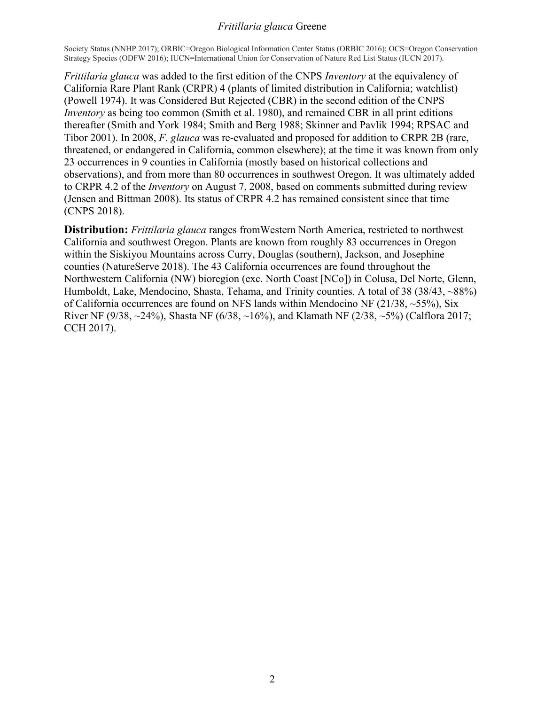Society Status (NNHP 2017); ORBIC=Oregon Biological Information Center Status (ORBIC 2016); OCS=Oregon Conservation Strategy Species (ODFW 2016); IUCN=International Union for Conservation of Nature Red List Status (IUCN 2017).

*Frittilaria glauca* was added to the first edition of the CNPS *Inventory* at the equivalency of California Rare Plant Rank (CRPR) 4 (plants of limited distribution in California; watchlist) (Powell 1974). It was Considered But Rejected (CBR) in the second edition of the CNPS *Inventory* as being too common (Smith et al. 1980), and remained CBR in all print editions thereafter (Smith and York 1984; Smith and Berg 1988; Skinner and Pavlik 1994; RPSAC and Tibor 2001). In 2008, *F. glauca* was re-evaluated and proposed for addition to CRPR 2B (rare, threatened, or endangered in California, common elsewhere); at the time it was known from only 23 occurrences in 9 counties in California (mostly based on historical collections and observations), and from more than 80 occurrences in southwest Oregon. It was ultimately added to CRPR 4.2 of the *Inventory* on August 7, 2008, based on comments submitted during review (Jensen and Bittman 2008). Its status of CRPR 4.2 has remained consistent since that time (CNPS 2018).

**Distribution:** *Frittilaria glauca* ranges fromWestern North America, restricted to northwest California and southwest Oregon. Plants are known from roughly 83 occurrences in Oregon within the Siskiyou Mountains across Curry, Douglas (southern), Jackson, and Josephine counties (NatureServe 2018). The 43 California occurrences are found throughout the Northwestern California (NW) bioregion (exc. North Coast [NCo]) in Colusa, Del Norte, Glenn, Humboldt, Lake, Mendocino, Shasta, Tehama, and Trinity counties. A total of 38 (38/43, ~88%) of California occurrences are found on NFS lands within Mendocino NF (21/38,  $\sim$ 55%), Six River NF (9/38,  $\sim$ 24%), Shasta NF (6/38,  $\sim$ 16%), and Klamath NF (2/38,  $\sim$ 5%) (Calflora 2017; CCH 2017).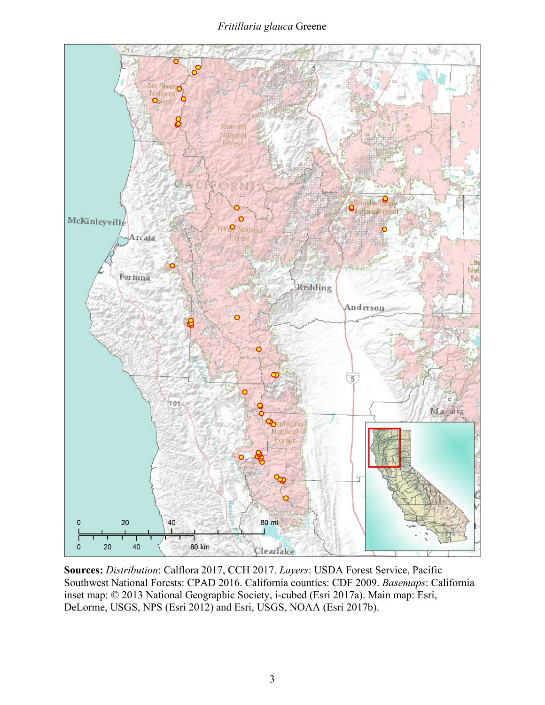

**Sources:** *Distribution*: Calflora 2017, CCH 2017. *Layers*: USDA Forest Service, Pacific Southwest National Forests: CPAD 2016. California counties: CDF 2009. *Basemaps*: California inset map: © 2013 National Geographic Society, i-cubed (Esri 2017a). Main map: Esri, DeLorme, USGS, NPS (Esri 2012) and Esri, USGS, NOAA (Esri 2017b).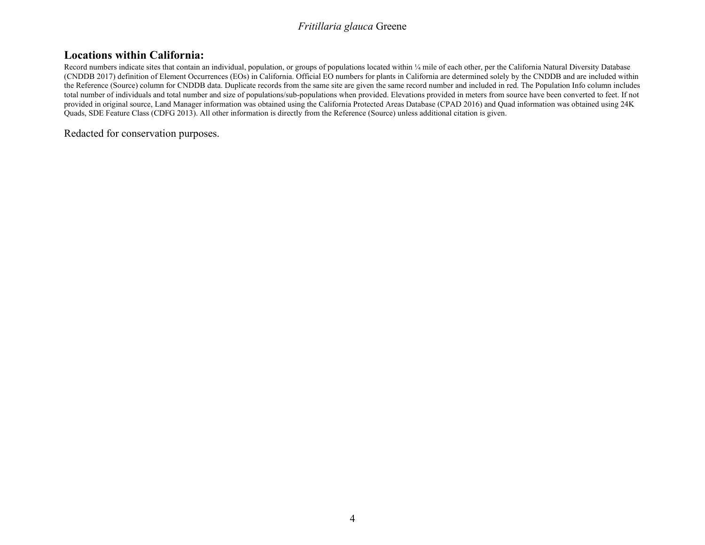## **Locations within California:**

Record numbers indicate sites that contain an individual, population, or groups of populations located within ¼ mile of each other, per the California Natural Diversity Database (CNDDB 2017) definition of Element Occurrences (EOs) in California. Official EO numbers for plants in California are determined solely by the CNDDB and are included within the Reference (Source) column for CNDDB data. Duplicate records from the same site are given the same record number and included in red. The Population Info column includes total number of individuals and total number and size of populations/sub-populations when provided. Elevations provided in meters from source have been converted to feet. If not provided in original source, Land Manager information was obtained using the California Protected Areas Database (CPAD 2016) and Quad information was obtained using 24K Quads, SDE Feature Class (CDFG 2013). All other information is directly from the Reference (Source) unless additional citation is given.

Redacted for conservation purposes.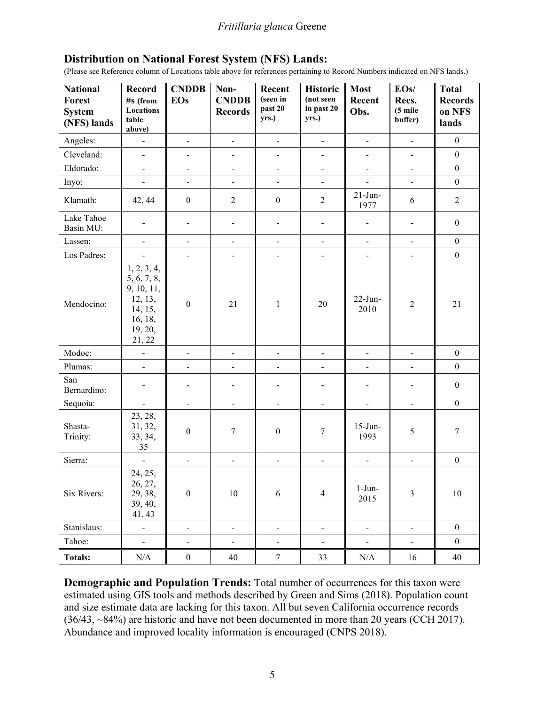#### **Distribution on National Forest System (NFS) Lands:**

(Please see Reference column of Locations table above for references pertaining to Record Numbers indicated on NFS lands.)

| <b>National</b><br>Forest<br><b>System</b><br>(NFS) lands | <b>Record</b><br>$#s$ (from<br><b>Locations</b><br>table<br>above)                             | <b>CNDDB</b><br><b>EOs</b>   | Non-<br><b>CNDDB</b><br><b>Records</b> | Recent<br>(seen in<br>past 20<br>yrs.) | <b>Historic</b><br>(not seen<br>in past 20<br>yrs.) | <b>Most</b><br>Recent<br>Obs. | EOs/<br>Recs.<br>$(5$ mile<br>buffer) | Total<br><b>Records</b><br>on NFS<br>lands |
|-----------------------------------------------------------|------------------------------------------------------------------------------------------------|------------------------------|----------------------------------------|----------------------------------------|-----------------------------------------------------|-------------------------------|---------------------------------------|--------------------------------------------|
| Angeles:                                                  | $\blacksquare$                                                                                 | $\blacksquare$               | $\blacksquare$                         | $\blacksquare$                         | $\blacksquare$                                      | $\blacksquare$                | $\blacksquare$                        | $\overline{0}$                             |
| Cleveland:                                                | $\blacksquare$                                                                                 | $\blacksquare$               | $\overline{\phantom{0}}$               | $\overline{\phantom{a}}$               | $\overline{\phantom{0}}$                            | $\blacksquare$                | $\blacksquare$                        | $\boldsymbol{0}$                           |
| Eldorado:                                                 | $\blacksquare$                                                                                 | $\overline{\phantom{m}}$     | $\overline{\phantom{0}}$               | $\overline{\phantom{a}}$               | $\blacksquare$                                      | $\blacksquare$                | $\blacksquare$                        | $\boldsymbol{0}$                           |
| Inyo:                                                     | $\blacksquare$                                                                                 | $\blacksquare$               | $\blacksquare$                         | $\blacksquare$                         | $\blacksquare$                                      | $\blacksquare$                | $\blacksquare$                        | $\boldsymbol{0}$                           |
| Klamath:                                                  | 42, 44                                                                                         | $\boldsymbol{0}$             | $\overline{2}$                         | $\boldsymbol{0}$                       | $\overline{2}$                                      | $21$ -Jun-<br>1977            | 6                                     | $\overline{2}$                             |
| Lake Tahoe<br>Basin MU:                                   | $\overline{\phantom{0}}$                                                                       | -                            | $\qquad \qquad \blacksquare$           | $\blacksquare$                         | $\qquad \qquad \blacksquare$                        | $\frac{1}{2}$                 | $\blacksquare$                        | $\mathbf{0}$                               |
| Lassen:                                                   | $\overline{\phantom{0}}$                                                                       | $\qquad \qquad \blacksquare$ | $\overline{\phantom{0}}$               | $\blacksquare$                         | $\overline{\phantom{0}}$                            | $\blacksquare$                | $\blacksquare$                        | $\mathbf{0}$                               |
| Los Padres:                                               | $\overline{\phantom{a}}$                                                                       | $\overline{\phantom{a}}$     | $\overline{\phantom{a}}$               | $\overline{\phantom{a}}$               | $\overline{\phantom{0}}$                            | $\blacksquare$                | $\blacksquare$                        | $\mathbf{0}$                               |
| Mendocino:                                                | 1, 2, 3, 4,<br>5, 6, 7, 8,<br>9, 10, 11,<br>12, 13,<br>14, 15,<br>16, 18,<br>19, 20,<br>21, 22 | $\boldsymbol{0}$             | 21                                     | $\mathbf{1}$                           | 20                                                  | $22$ -Jun-<br>2010            | $\overline{2}$                        | 21                                         |
| Modoc:                                                    | $\frac{1}{2}$                                                                                  | $\qquad \qquad \blacksquare$ | $\blacksquare$                         | $\overline{\phantom{a}}$               | $\blacksquare$                                      | $\blacksquare$                | $\blacksquare$                        | $\overline{0}$                             |
| Plumas:                                                   | $\overline{a}$                                                                                 | $\overline{\phantom{0}}$     | $\overline{a}$                         | $\blacksquare$                         | $\overline{a}$                                      | $\overline{a}$                | $\mathbb{L}^2$                        | $\boldsymbol{0}$                           |
| San<br>Bernardino:                                        | $\overline{a}$                                                                                 | $\overline{\phantom{0}}$     | $\overline{\phantom{0}}$               | $\overline{\phantom{a}}$               | $\qquad \qquad -$                                   | $\overline{\phantom{a}}$      | $\blacksquare$                        | $\boldsymbol{0}$                           |
| Sequoia:                                                  | $\blacksquare$                                                                                 | $\overline{\phantom{a}}$     | $\blacksquare$                         | $\overline{\phantom{a}}$               | $\blacksquare$                                      | $\blacksquare$                | $\overline{\phantom{a}}$              | $\boldsymbol{0}$                           |
| Shasta-<br>Trinity:                                       | 23, 28,<br>31, 32,<br>33, 34,<br>35                                                            | $\boldsymbol{0}$             | 7                                      | $\boldsymbol{0}$                       | $\boldsymbol{7}$                                    | $15$ -Jun-<br>1993            | 5                                     | $\boldsymbol{7}$                           |
| Sierra:                                                   | $\qquad \qquad \blacksquare$                                                                   | $\overline{\phantom{0}}$     | $\frac{1}{2}$                          | $\blacksquare$                         | $\frac{1}{2}$                                       | $\blacksquare$                | $\blacksquare$                        | $\boldsymbol{0}$                           |
| Six Rivers:                                               | 24, 25,<br>26, 27,<br>29, 38,<br>39, 40,<br>41, 43                                             | $\boldsymbol{0}$             | 10                                     | 6                                      | $\overline{4}$                                      | $1-Jun-$<br>2015              | 3                                     | $10\,$                                     |
| Stanislaus:                                               | $\overline{a}$                                                                                 | $\blacksquare$               | $\Box$                                 | $\blacksquare$                         | $\Box$                                              | $\blacksquare$                | $\blacksquare$                        | $\boldsymbol{0}$                           |
| Tahoe:                                                    | $\mathbb{Z}^d$                                                                                 | $\blacksquare$               | $\blacksquare$                         | $\blacksquare$                         | $\blacksquare$                                      | $\blacksquare$                | $\blacksquare$                        | $\boldsymbol{0}$                           |
| <b>Totals:</b>                                            | N/A                                                                                            | $\boldsymbol{0}$             | 40                                     | $\tau$                                 | 33                                                  | N/A                           | 16                                    | 40                                         |

**Demographic and Population Trends:** Total number of occurrences for this taxon were estimated using GIS tools and methods described by Green and Sims (2018). Population count and size estimate data are lacking for this taxon. All but seven California occurrence records (36/43, ~84%) are historic and have not been documented in more than 20 years (CCH 2017). Abundance and improved locality information is encouraged (CNPS 2018).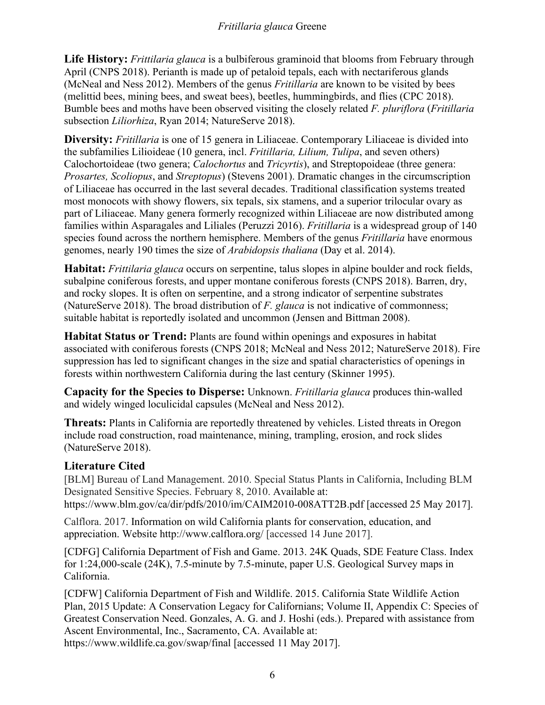**Life History:** *Frittilaria glauca* is a bulbiferous graminoid that blooms from February through April (CNPS 2018). Perianth is made up of petaloid tepals, each with nectariferous glands (McNeal and Ness 2012). Members of the genus *Fritillaria* are known to be visited by bees (melittid bees, mining bees, and sweat bees), beetles, hummingbirds, and flies (CPC 2018). Bumble bees and moths have been observed visiting the closely related *F. pluriflora* (*Fritillaria* subsection *Liliorhiza*, Ryan 2014; NatureServe 2018).

**Diversity:** *Fritillaria* is one of 15 genera in Liliaceae. Contemporary Liliaceae is divided into the subfamilies Lilioideae (10 genera, incl. *Fritillaria, Lilium, Tulipa*, and seven others) Calochortoideae (two genera; *Calochortus* and *Tricyrtis*), and Streptopoideae (three genera: *Prosartes, Scoliopus*, and *Streptopus*) (Stevens 2001). Dramatic changes in the circumscription of Liliaceae has occurred in the last several decades. Traditional classification systems treated most monocots with showy flowers, six tepals, six stamens, and a superior trilocular ovary as part of Liliaceae. Many genera formerly recognized within Liliaceae are now distributed among families within Asparagales and Liliales (Peruzzi 2016). *Fritillaria* is a widespread group of 140 species found across the northern hemisphere. Members of the genus *Fritillaria* have enormous genomes, nearly 190 times the size of *Arabidopsis thaliana* (Day et al. 2014).

**Habitat:** *Frittilaria glauca* occurs on serpentine, talus slopes in alpine boulder and rock fields, subalpine coniferous forests, and upper montane coniferous forests (CNPS 2018). Barren, dry, and rocky slopes. It is often on serpentine, and a strong indicator of serpentine substrates (NatureServe 2018). The broad distribution of *F. glauca* is not indicative of commonness; suitable habitat is reportedly isolated and uncommon (Jensen and Bittman 2008).

**Habitat Status or Trend:** Plants are found within openings and exposures in habitat associated with coniferous forests (CNPS 2018; McNeal and Ness 2012; NatureServe 2018). Fire suppression has led to significant changes in the size and spatial characteristics of openings in forests within northwestern California during the last century (Skinner 1995).

**Capacity for the Species to Disperse:** Unknown. *Fritillaria glauca* produces thin-walled and widely winged loculicidal capsules (McNeal and Ness 2012).

**Threats:** Plants in California are reportedly threatened by vehicles. Listed threats in Oregon include road construction, road maintenance, mining, trampling, erosion, and rock slides (NatureServe 2018).

## **Literature Cited**

[BLM] Bureau of Land Management. 2010. Special Status Plants in California, Including BLM Designated Sensitive Species. February 8, 2010. Available at: https://www.blm.gov/ca/dir/pdfs/2010/im/CAIM2010-008ATT2B.pdf [accessed 25 May 2017].

Calflora. 2017. Information on wild California plants for conservation, education, and appreciation. Website http://www.calflora.org/ [accessed 14 June 2017].

[CDFG] California Department of Fish and Game. 2013. 24K Quads, SDE Feature Class. Index for 1:24,000-scale (24K), 7.5-minute by 7.5-minute, paper U.S. Geological Survey maps in California.

[CDFW] California Department of Fish and Wildlife. 2015. California State Wildlife Action Plan, 2015 Update: A Conservation Legacy for Californians; Volume II, Appendix C: Species of Greatest Conservation Need. Gonzales, A. G. and J. Hoshi (eds.). Prepared with assistance from Ascent Environmental, Inc., Sacramento, CA. Available at: https://www.wildlife.ca.gov/swap/final [accessed 11 May 2017].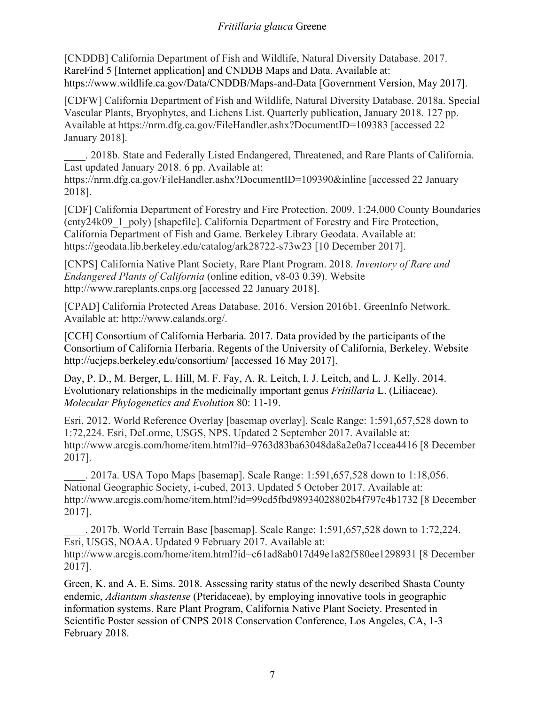[CNDDB] California Department of Fish and Wildlife, Natural Diversity Database. 2017. RareFind 5 [Internet application] and CNDDB Maps and Data. Available at: https://www.wildlife.ca.gov/Data/CNDDB/Maps-and-Data [Government Version, May 2017].

[CDFW] California Department of Fish and Wildlife, Natural Diversity Database. 2018a. Special Vascular Plants, Bryophytes, and Lichens List. Quarterly publication, January 2018. 127 pp. Available at https://nrm.dfg.ca.gov/FileHandler.ashx?DocumentID=109383 [accessed 22 January 2018].

\_\_\_\_. 2018b. State and Federally Listed Endangered, Threatened, and Rare Plants of California. Last updated January 2018. 6 pp. Available at:

https://nrm.dfg.ca.gov/FileHandler.ashx?DocumentID=109390&inline [accessed 22 January 2018].

[CDF] California Department of Forestry and Fire Protection. 2009. 1:24,000 County Boundaries (cnty24k09\_1\_poly) [shapefile]. California Department of Forestry and Fire Protection, California Department of Fish and Game. Berkeley Library Geodata. Available at: https://geodata.lib.berkeley.edu/catalog/ark28722-s73w23 [10 December 2017].

[CNPS] California Native Plant Society, Rare Plant Program. 2018. *Inventory of Rare and Endangered Plants of California* (online edition, v8-03 0.39). Website http://www.rareplants.cnps.org [accessed 22 January 2018].

[CPAD] California Protected Areas Database. 2016. Version 2016b1. GreenInfo Network. Available at: http://www.calands.org/.

[CCH] Consortium of California Herbaria. 2017. Data provided by the participants of the Consortium of California Herbaria. Regents of the University of California, Berkeley. Website http://ucjeps.berkeley.edu/consortium/ [accessed 16 May 2017].

Day, P. D., M. Berger, L. Hill, M. F. Fay, A. R. Leitch, I. J. Leitch, and L. J. Kelly. 2014. Evolutionary relationships in the medicinally important genus *Fritillaria* L. (Liliaceae). *Molecular Phylogenetics and Evolution* 80: 11-19.

Esri. 2012. World Reference Overlay [basemap overlay]. Scale Range: 1:591,657,528 down to 1:72,224. Esri, DeLorme, USGS, NPS. Updated 2 September 2017. Available at: http://www.arcgis.com/home/item.html?id=9763d83ba63048da8a2e0a71ccea4416 [8 December 2017].

\_\_\_\_. 2017a. USA Topo Maps [basemap]. Scale Range: 1:591,657,528 down to 1:18,056. National Geographic Society, i-cubed, 2013. Updated 5 October 2017. Available at: http://www.arcgis.com/home/item.html?id=99cd5fbd98934028802b4f797c4b1732 [8 December 2017].

\_\_\_\_. 2017b. World Terrain Base [basemap]. Scale Range: 1:591,657,528 down to 1:72,224. Esri, USGS, NOAA. Updated 9 February 2017. Available at: http://www.arcgis.com/home/item.html?id=c61ad8ab017d49e1a82f580ee1298931 [8 December 2017].

Green, K. and A. E. Sims. 2018. Assessing rarity status of the newly described Shasta County endemic, *Adiantum shastense* (Pteridaceae), by employing innovative tools in geographic information systems. Rare Plant Program, California Native Plant Society. Presented in Scientific Poster session of CNPS 2018 Conservation Conference, Los Angeles, CA, 1-3 February 2018.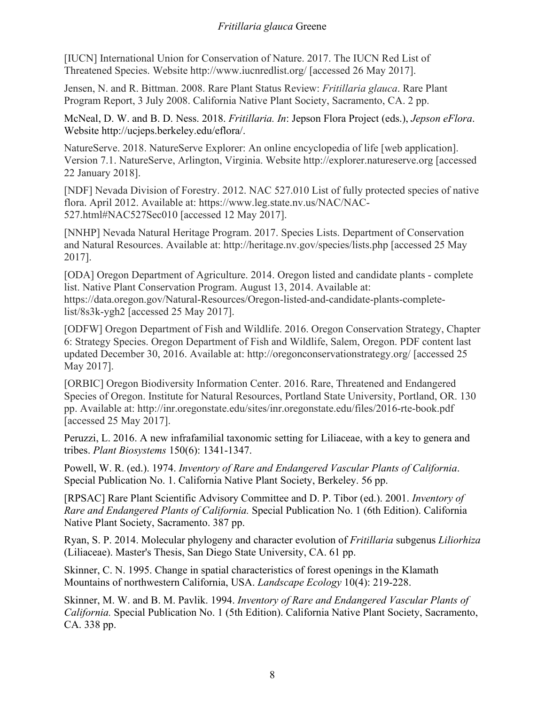[IUCN] International Union for Conservation of Nature. 2017. The IUCN Red List of Threatened Species. Website http://www.iucnredlist.org/ [accessed 26 May 2017].

Jensen, N. and R. Bittman. 2008. Rare Plant Status Review: *Fritillaria glauca*. Rare Plant Program Report, 3 July 2008. California Native Plant Society, Sacramento, CA. 2 pp.

McNeal, D. W. and B. D. Ness. 2018. *Fritillaria. In*: Jepson Flora Project (eds.), *Jepson eFlora*. Website http://ucjeps.berkeley.edu/eflora/.

NatureServe. 2018. NatureServe Explorer: An online encyclopedia of life [web application]. Version 7.1. NatureServe, Arlington, Virginia. Website http://explorer.natureserve.org [accessed 22 January 2018].

[NDF] Nevada Division of Forestry. 2012. NAC 527.010 List of fully protected species of native flora. April 2012. Available at: https://www.leg.state.nv.us/NAC/NAC-527.html#NAC527Sec010 [accessed 12 May 2017].

[NNHP] Nevada Natural Heritage Program. 2017. Species Lists. Department of Conservation and Natural Resources. Available at: http://heritage.nv.gov/species/lists.php [accessed 25 May 2017].

[ODA] Oregon Department of Agriculture. 2014. Oregon listed and candidate plants - complete list. Native Plant Conservation Program. August 13, 2014. Available at: https://data.oregon.gov/Natural-Resources/Oregon-listed-and-candidate-plants-completelist/8s3k-ygh2 [accessed 25 May 2017].

[ODFW] Oregon Department of Fish and Wildlife. 2016. Oregon Conservation Strategy, Chapter 6: Strategy Species. Oregon Department of Fish and Wildlife, Salem, Oregon. PDF content last updated December 30, 2016. Available at: http://oregonconservationstrategy.org/ [accessed 25 May 2017].

[ORBIC] Oregon Biodiversity Information Center. 2016. Rare, Threatened and Endangered Species of Oregon. Institute for Natural Resources, Portland State University, Portland, OR. 130 pp. Available at: http://inr.oregonstate.edu/sites/inr.oregonstate.edu/files/2016-rte-book.pdf [accessed 25 May 2017].

Peruzzi, L. 2016. A new infrafamilial taxonomic setting for Liliaceae, with a key to genera and tribes. *Plant Biosystems* 150(6): 1341-1347.

Powell, W. R. (ed.). 1974. *Inventory of Rare and Endangered Vascular Plants of California*. Special Publication No. 1. California Native Plant Society, Berkeley. 56 pp.

[RPSAC] Rare Plant Scientific Advisory Committee and D. P. Tibor (ed.). 2001. *Inventory of Rare and Endangered Plants of California.* Special Publication No. 1 (6th Edition). California Native Plant Society, Sacramento. 387 pp.

Ryan, S. P. 2014. Molecular phylogeny and character evolution of *Fritillaria* subgenus *Liliorhiza* (Liliaceae). Master's Thesis, San Diego State University, CA. 61 pp.

Skinner, C. N. 1995. Change in spatial characteristics of forest openings in the Klamath Mountains of northwestern California, USA. *Landscape Ecology* 10(4): 219-228.

Skinner, M. W. and B. M. Pavlik. 1994. *Inventory of Rare and Endangered Vascular Plants of California.* Special Publication No. 1 (5th Edition). California Native Plant Society, Sacramento, CA. 338 pp.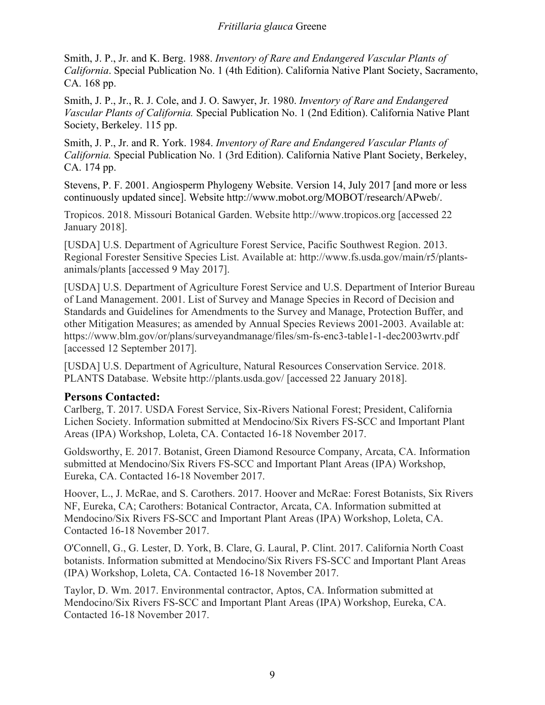Smith, J. P., Jr. and K. Berg. 1988. *Inventory of Rare and Endangered Vascular Plants of California*. Special Publication No. 1 (4th Edition). California Native Plant Society, Sacramento, CA. 168 pp.

Smith, J. P., Jr., R. J. Cole, and J. O. Sawyer, Jr. 1980. *Inventory of Rare and Endangered Vascular Plants of California.* Special Publication No. 1 (2nd Edition). California Native Plant Society, Berkeley. 115 pp.

Smith, J. P., Jr. and R. York. 1984. *Inventory of Rare and Endangered Vascular Plants of California.* Special Publication No. 1 (3rd Edition). California Native Plant Society, Berkeley, CA. 174 pp.

Stevens, P. F. 2001. Angiosperm Phylogeny Website. Version 14, July 2017 [and more or less continuously updated since]. Website http://www.mobot.org/MOBOT/research/APweb/.

Tropicos. 2018. Missouri Botanical Garden. Website http://www.tropicos.org [accessed 22 January 2018].

[USDA] U.S. Department of Agriculture Forest Service, Pacific Southwest Region. 2013. Regional Forester Sensitive Species List. Available at: http://www.fs.usda.gov/main/r5/plantsanimals/plants [accessed 9 May 2017].

[USDA] U.S. Department of Agriculture Forest Service and U.S. Department of Interior Bureau of Land Management. 2001. List of Survey and Manage Species in Record of Decision and Standards and Guidelines for Amendments to the Survey and Manage, Protection Buffer, and other Mitigation Measures; as amended by Annual Species Reviews 2001-2003. Available at: https://www.blm.gov/or/plans/surveyandmanage/files/sm-fs-enc3-table1-1-dec2003wrtv.pdf [accessed 12 September 2017].

[USDA] U.S. Department of Agriculture, Natural Resources Conservation Service. 2018. PLANTS Database. Website http://plants.usda.gov/ [accessed 22 January 2018].

#### **Persons Contacted:**

Carlberg, T. 2017. USDA Forest Service, Six-Rivers National Forest; President, California Lichen Society. Information submitted at Mendocino/Six Rivers FS-SCC and Important Plant Areas (IPA) Workshop, Loleta, CA. Contacted 16-18 November 2017.

Goldsworthy, E. 2017. Botanist, Green Diamond Resource Company, Arcata, CA. Information submitted at Mendocino/Six Rivers FS-SCC and Important Plant Areas (IPA) Workshop, Eureka, CA. Contacted 16-18 November 2017.

Hoover, L., J. McRae, and S. Carothers. 2017. Hoover and McRae: Forest Botanists, Six Rivers NF, Eureka, CA; Carothers: Botanical Contractor, Arcata, CA. Information submitted at Mendocino/Six Rivers FS-SCC and Important Plant Areas (IPA) Workshop, Loleta, CA. Contacted 16-18 November 2017.

O'Connell, G., G. Lester, D. York, B. Clare, G. Laural, P. Clint. 2017. California North Coast botanists. Information submitted at Mendocino/Six Rivers FS-SCC and Important Plant Areas (IPA) Workshop, Loleta, CA. Contacted 16-18 November 2017.

Taylor, D. Wm. 2017. Environmental contractor, Aptos, CA. Information submitted at Mendocino/Six Rivers FS-SCC and Important Plant Areas (IPA) Workshop, Eureka, CA. Contacted 16-18 November 2017.